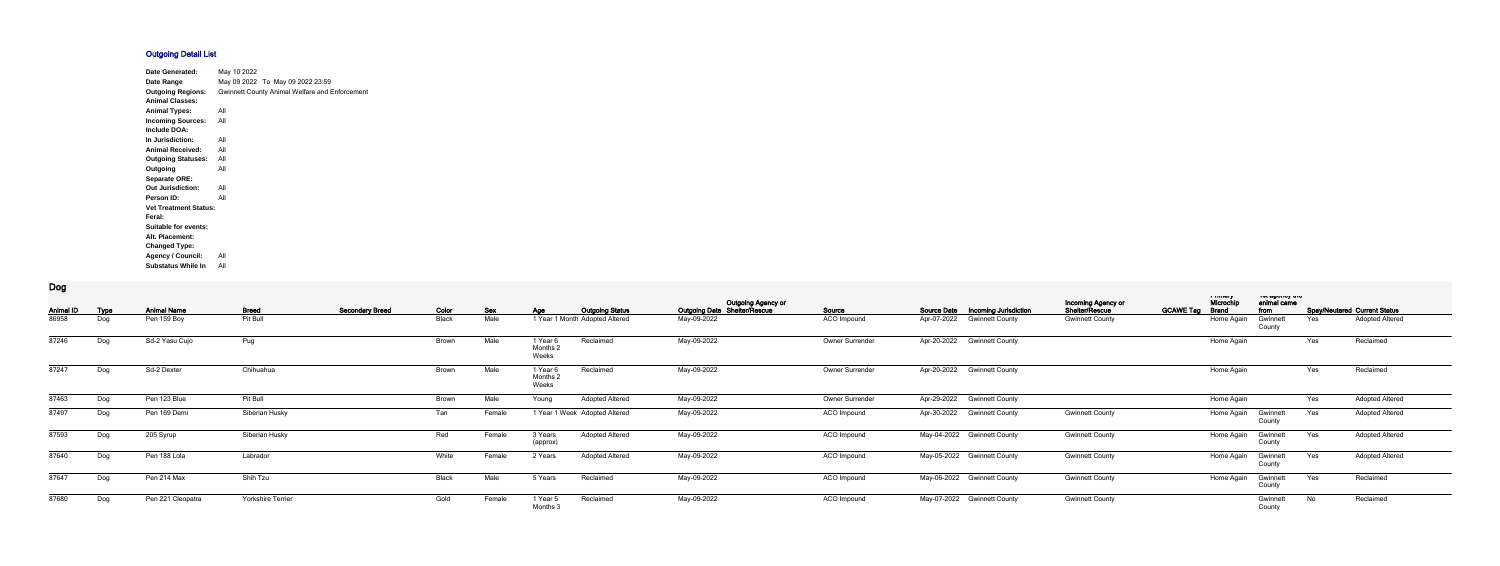## **Outgoing Detail List**

| <b>Date Generated:</b>       | May 10 2022 |                                                       |
|------------------------------|-------------|-------------------------------------------------------|
| Date Range                   |             | May 09 2022 To May 09 2022 23:59                      |
| <b>Outgoing Regions:</b>     |             | <b>Gwinnett County Animal Welfare and Enforcement</b> |
| <b>Animal Classes:</b>       |             |                                                       |
| <b>Animal Types:</b>         | All         |                                                       |
| <b>Incoming Sources:</b>     | All         |                                                       |
| <b>Include DOA:</b>          |             |                                                       |
| In Jurisdiction:             | All         |                                                       |
| <b>Animal Received:</b>      | All         |                                                       |
| <b>Outgoing Statuses:</b>    | All         |                                                       |
| Outgoing                     | All         |                                                       |
| <b>Separate ORE:</b>         |             |                                                       |
| <b>Out Jurisdiction:</b>     | All         |                                                       |
| Person ID:                   | All         |                                                       |
| <b>Vet Treatment Status:</b> |             |                                                       |
| Feral:                       |             |                                                       |
| <b>Suitable for events:</b>  |             |                                                       |
| Alt. Placement:              |             |                                                       |
| <b>Changed Type:</b>         |             |                                                       |
| <b>Agency / Council:</b>     | All         |                                                       |
| <b>Substatus While In</b>    | All         |                                                       |

**Dog**

| <b>Animal ID</b> | <b>Type</b> | <b>Animal Name</b> | <b>Breed</b>             | <b>Secondary Breed</b> | Color        | <b>Sex</b> | Age                         | <b>Outgoing Status</b>         | Outgoing Agency or<br>Outgoing Date Shelter/Rescue | Source          | <b>Source Date</b> | <b>Incoming Jurisdiction</b> | Incoming Agency or<br>Shelter/Rescue | <b>GCAWE Tag</b> | i muuy<br>Microchi<br><b>Brand</b> | יוט עשטווטץ עוט<br>animal came<br>from |     | <b>Spay/Neutered Current Status</b> |
|------------------|-------------|--------------------|--------------------------|------------------------|--------------|------------|-----------------------------|--------------------------------|----------------------------------------------------|-----------------|--------------------|------------------------------|--------------------------------------|------------------|------------------------------------|----------------------------------------|-----|-------------------------------------|
| 86958            | Dog         | Pen 159 Boy        | Pit Bull                 |                        | <b>Black</b> | Male       |                             | 1 Year 1 Month Adopted Altered | May-09-2022                                        | ACO Impound     | Apr-07-2022        | <b>Gwinnett County</b>       | <b>Gwinnett County</b>               |                  | Home Again                         | Gwinnet<br>County                      | Yes | Adopted Altered                     |
| 87246            | Dog         | Sd-2 Yasu Cujo     | Pug                      |                        | Brown        | Male       | 1 Year 6<br>Months<br>Weeks | Reclaimed                      | May-09-2022                                        | Owner Surrender | Apr-20-2022        | <b>Gwinnett County</b>       |                                      |                  | Home Again                         |                                        | Yes | Reclaimed                           |
| 87247            | Dog         | Sd-2 Dexter        | Chihuahua                |                        | <b>Brown</b> | Male       | 1 Year 6<br>Months<br>Weeks | Reclaimed                      | May-09-2022                                        | Owner Surrender | Apr-20-2022        | <b>Gwinnett County</b>       |                                      |                  | Home Again                         |                                        | Yes | Reclaimed                           |
| 87463            | Dog         | Pen 123 Blue       | Pit Bull                 |                        | Brown        | Male       | Young                       | <b>Adopted Altered</b>         | May-09-2022                                        | Owner Surrender | Apr-29-2022        | <b>Gwinnett County</b>       |                                      |                  | Home Again                         |                                        | Yes | Adopted Altered                     |
| 87497            | Dog         | Pen 169 Demi       | Siberian Husky           |                        | Tan          | Female     |                             | 1 Year 1 Week Adopted Altered  | May-09-2022                                        | ACO Impound     |                    | Apr-30-2022 Gwinnett County  | <b>Gwinnett County</b>               |                  | Home Again                         | Gwinnet<br>County                      | Yes | <b>Adopted Altered</b>              |
| 87593            | Dog         | 205 Syrup          | Siberian Husky           |                        | Red          | Female     | 3 Years<br>(approx)         | <b>Adopted Altered</b>         | May-09-2022                                        | ACO Impound     |                    | May-04-2022 Gwinnett County  | <b>Gwinnett County</b>               |                  | Home Again                         | Gwinnet<br>County                      | Yes | <b>Adopted Altered</b>              |
| 87640            | Dog         | Pen 188 Lola       | Labrador                 |                        | White        | Female     | 2 Years                     | <b>Adopted Altered</b>         | May-09-2022                                        | ACO Impound     |                    | May-05-2022 Gwinnett County  | <b>Gwinnett County</b>               |                  | Home Again                         | Gwinnett<br>County                     | Yes | <b>Adopted Altered</b>              |
| 87647            | Dog         | Pen 214 Max        | Shih Tzu                 |                        | Black        | Male       | 5 Years                     | Reclaimed                      | May-09-2022                                        | ACO Impound     |                    | May-06-2022 Gwinnett County  | <b>Gwinnett County</b>               |                  | Home Again                         | Gwinnett<br>County                     | Yes | Reclaimed                           |
| 87680            | Dog         | Pen 221 Cleopatra  | <b>Yorkshire Terrier</b> |                        | Gold         | Female     | 1 Year 5<br>Months          | Reclaimed                      | May-09-2022                                        | ACO Impound     |                    | May-07-2022 Gwinnett County  | <b>Gwinnett County</b>               |                  |                                    | Gwinnet<br>County                      | No  | Reclaimed                           |